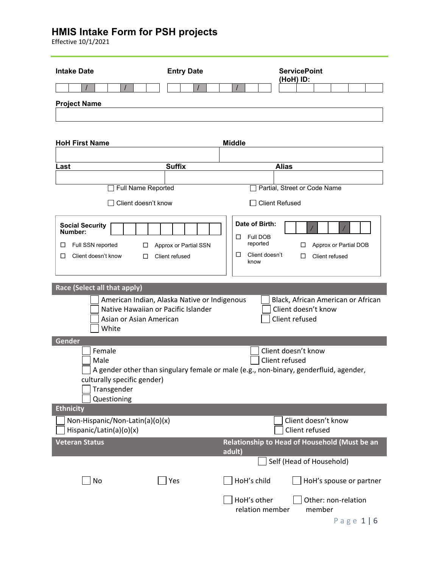Effective 10/1/2021

| <b>Intake Date</b>                                                                      | <b>Entry Date</b>                                                                   | <b>ServicePoint</b><br>(HoH) ID:                                                                                                |
|-----------------------------------------------------------------------------------------|-------------------------------------------------------------------------------------|---------------------------------------------------------------------------------------------------------------------------------|
|                                                                                         |                                                                                     |                                                                                                                                 |
| <b>Project Name</b>                                                                     |                                                                                     |                                                                                                                                 |
|                                                                                         |                                                                                     |                                                                                                                                 |
| <b>HoH First Name</b>                                                                   |                                                                                     | <b>Middle</b>                                                                                                                   |
|                                                                                         |                                                                                     |                                                                                                                                 |
| Last                                                                                    | <b>Suffix</b>                                                                       | <b>Alias</b>                                                                                                                    |
|                                                                                         | Full Name Reported                                                                  | Partial, Street or Code Name                                                                                                    |
|                                                                                         | Client doesn't know                                                                 | <b>Client Refused</b>                                                                                                           |
|                                                                                         |                                                                                     |                                                                                                                                 |
| <b>Social Security</b><br>Number:<br>Full SSN reported<br>□<br>Client doesn't know<br>□ | Approx or Partial SSN<br>ப<br>□<br>Client refused                                   | Date of Birth:<br>Full DOB<br>□<br>reported<br>Approx or Partial DOB<br>□<br>□<br>Client doesn't<br>Client refused<br>□<br>know |
|                                                                                         |                                                                                     |                                                                                                                                 |
| Race (Select all that apply)                                                            |                                                                                     |                                                                                                                                 |
| Asian or Asian American<br>White                                                        | American Indian, Alaska Native or Indigenous<br>Native Hawaiian or Pacific Islander | Black, African American or African<br>Client doesn't know<br>Client refused                                                     |
| Gender                                                                                  |                                                                                     |                                                                                                                                 |
| Female<br>Male<br>culturally specific gender)<br>Transgender<br>Questioning             |                                                                                     | Client doesn't know<br>Client refused<br>A gender other than singulary female or male (e.g., non-binary, genderfluid, agender,  |
| <b>Ethnicity</b>                                                                        |                                                                                     | Client doesn't know                                                                                                             |
| Non-Hispanic/Non-Latin(a)(o)(x)<br>Hispanic/Latin(a)(o)(x)                              |                                                                                     | Client refused                                                                                                                  |
| <b>Veteran Status</b>                                                                   |                                                                                     | Relationship to Head of Household (Must be an<br>adult)                                                                         |
|                                                                                         |                                                                                     | Self (Head of Household)                                                                                                        |
| No                                                                                      | Yes                                                                                 | HoH's child<br>HoH's spouse or partner                                                                                          |
|                                                                                         |                                                                                     | HoH's other<br>Other: non-relation<br>relation member<br>member<br>$D \cap \sigma \cap 1$ $\cup$ $G$                            |

Page 1 | 6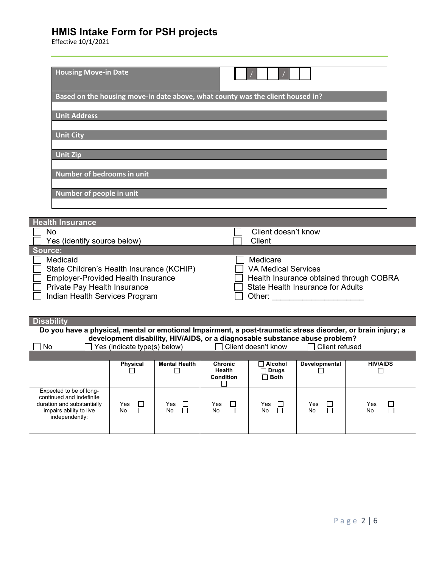| <b>Housing Move-in Date</b>                                                    |                     |
|--------------------------------------------------------------------------------|---------------------|
| Based on the housing move-in date above, what county was the client housed in? |                     |
| <b>Unit Address</b>                                                            |                     |
| <b>Unit City</b>                                                               |                     |
| <b>Unit Zip</b>                                                                |                     |
| Number of bedrooms in unit                                                     |                     |
| Number of people in unit                                                       |                     |
|                                                                                |                     |
| <b>Health Insurance</b>                                                        |                     |
| No                                                                             | Client doesn't know |
| Yes (identify source below)                                                    | Client              |

| <b>1 CS (IGGITULY SOULCE DEIUW)</b>                                                                                                                                  | viiti                                                                                                                                          |
|----------------------------------------------------------------------------------------------------------------------------------------------------------------------|------------------------------------------------------------------------------------------------------------------------------------------------|
| Source:                                                                                                                                                              |                                                                                                                                                |
| Medicaid<br>State Children's Health Insurance (KCHIP)<br><b>Employer-Provided Health Insurance</b><br>Private Pay Health Insurance<br>Indian Health Services Program | Medicare<br><b>VA Medical Services</b><br>$\Box$ Health Insurance obtained through COBRA<br><b>State Health Insurance for Adults</b><br>Other: |
|                                                                                                                                                                      |                                                                                                                                                |

| <b>Disability</b>                                                                                                              |                              |                           |                                              |                                        |                                                                                                                 |                          |
|--------------------------------------------------------------------------------------------------------------------------------|------------------------------|---------------------------|----------------------------------------------|----------------------------------------|-----------------------------------------------------------------------------------------------------------------|--------------------------|
| Do you have a physical, mental or emotional Impairment, a post-traumatic stress disorder, or brain injury; a                   |                              |                           |                                              |                                        |                                                                                                                 |                          |
| No.                                                                                                                            | Yes (indicate type(s) below) |                           |                                              | Client doesn't know                    | development disability, HIV/AIDS, or a diagnosable substance abuse problem?<br>Client refused<br>$\blacksquare$ |                          |
|                                                                                                                                |                              |                           |                                              |                                        |                                                                                                                 |                          |
|                                                                                                                                | <b>Physical</b>              | <b>Mental Health</b>      | <b>Chronic</b><br><b>Health</b><br>Condition | Alcohol<br><b>Orugs</b><br>$\Box$ Both | Developmental                                                                                                   | <b>HIV/AIDS</b>          |
| Expected to be of long-<br>continued and indefinite<br>duration and substantially<br>impairs ability to live<br>independently: | Yes<br>No                    | $\Box$<br>Yes<br>П<br>No. | Yes<br>П<br>No                               | Yes<br>$\Box$<br>П<br>No               | Yes<br>□<br>ㄱ<br>No                                                                                             | □<br>Yes<br>$\Box$<br>No |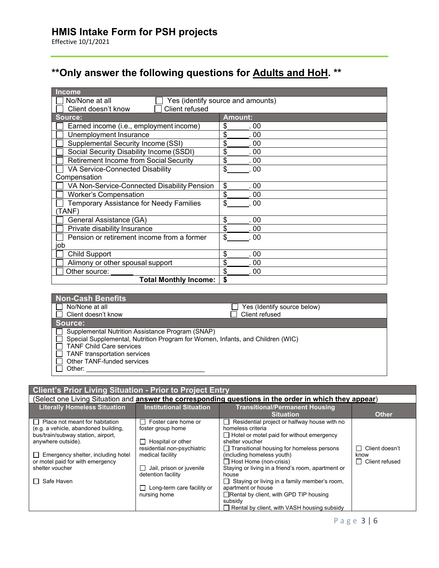# **\*\*Only answer the following questions for Adults and HoH. \*\***

| <b>Child Support</b><br>Alimony or other spousal support     | \$<br>. 00<br>\$<br>. 00          |
|--------------------------------------------------------------|-----------------------------------|
| Pension or retirement income from a former<br>job            | \$<br>00                          |
| Private disability Insurance                                 | \$<br>00                          |
| General Assistance (GA)                                      | \$<br>00                          |
| TANF)                                                        |                                   |
| <b>Temporary Assistance for Needy Families</b>               | \$<br>00                          |
| <b>Worker's Compensation</b>                                 | \$<br>. 00                        |
| VA Non-Service-Connected Disability Pension                  | \$<br>. 00                        |
| Compensation                                                 |                                   |
| VA Service-Connected Disability                              | \$<br>00                          |
| <b>Retirement Income from Social Security</b>                | \$<br>.00                         |
| Social Security Disability Income (SSDI)                     | \$<br>.00                         |
| Unemployment Insurance<br>Supplemental Security Income (SSI) | \$<br>00<br>\$<br>. 00            |
| Earned income (i.e., employment income)                      | \$<br>. 00                        |
| Source:                                                      | <b>Amount:</b>                    |
| Client refused<br>Client doesn't know                        |                                   |
| No/None at all                                               | Yes (identify source and amounts) |
| <b>Income</b>                                                |                                   |

| <b>Non-Cash Benefits</b>                                                                                                                                                                                                                      |                             |
|-----------------------------------------------------------------------------------------------------------------------------------------------------------------------------------------------------------------------------------------------|-----------------------------|
| No/None at all                                                                                                                                                                                                                                | Yes (Identify source below) |
| Client doesn't know                                                                                                                                                                                                                           | Client refused              |
| Source:                                                                                                                                                                                                                                       |                             |
| Supplemental Nutrition Assistance Program (SNAP)<br>Special Supplemental, Nutrition Program for Women, Infants, and Children (WIC)<br><b>TANF Child Care services</b><br>TANF transportation services<br>Other TANF-funded services<br>Other: |                             |

#### **Client's Prior Living Situation - Prior to Project Entry**

|                                           |                                   | (Select one Living Situation and <b>answer the corresponding questions in the order in which they appear</b> ) |                      |
|-------------------------------------------|-----------------------------------|----------------------------------------------------------------------------------------------------------------|----------------------|
| <b>Literally Homeless Situation</b>       | <b>Institutional Situation</b>    | <b>Transitional/Permanent Housing</b>                                                                          |                      |
|                                           |                                   | <b>Situation</b>                                                                                               | <b>Other</b>         |
| $\Box$ Place not meant for habitation     | $\Box$ Foster care home or        | Residential project or halfway house with no<br>$\blacksquare$                                                 |                      |
| (e.g. a vehicle, abandoned building,      | foster group home                 | homeless criteria                                                                                              |                      |
| bus/train/subway station, airport,        |                                   | $\Box$ Hotel or motel paid for without emergency                                                               |                      |
| anywhere outside).                        | Hospital or other                 | shelter voucher                                                                                                |                      |
|                                           | residential non-psychiatric       | $\Box$ Transitional housing for homeless persons                                                               | Client doesn't       |
| $\Box$ Emergency shelter, including hotel | medical facility                  | (including homeless youth)                                                                                     | know                 |
| or motel paid for with emergency          |                                   | $\Box$ Host Home (non-crisis)                                                                                  | Client refused<br>ΙI |
| shelter voucher                           | $\Box$ Jail, prison or juvenile   | Staying or living in a friend's room, apartment or                                                             |                      |
|                                           | detention facility                | house                                                                                                          |                      |
| Safe Haven<br>$\Box$                      |                                   | $\Box$ Staying or living in a family member's room,                                                            |                      |
|                                           | $\Box$ Long-term care facility or | apartment or house                                                                                             |                      |
|                                           | nursing home                      | □Rental by client, with GPD TIP housing                                                                        |                      |
|                                           |                                   | subsidy                                                                                                        |                      |
|                                           |                                   | Rental by client, with VASH housing subsidy                                                                    |                      |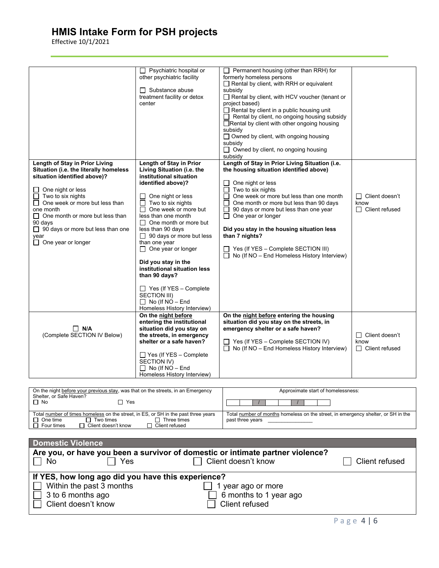| Psychiatric hospital or<br>$\Box$ Permanent housing (other than RRH) for<br>other psychiatric facility<br>formerly homeless persons<br>Rental by client, with RRH or equivalent<br>$\Box$ Substance abuse<br>subsidy<br>Rental by client, with HCV voucher (tenant or<br>treatment facility or detox<br>center<br>project based)<br>$\Box$ Rental by client in a public housing unit<br>$\Box$ Rental by client, no ongoing housing subsidy<br>Rental by client with other ongoing housing<br>subsidy<br>$\Box$ Owned by client, with ongoing housing<br>subsidy<br>$\Box$ Owned by client, no ongoing housing<br>subsidy<br>Length of Stay in Prior Living Situation (i.e.<br>Length of Stay in Prior Living<br>Length of Stay in Prior<br>Living Situation (i.e. the<br>the housing situation identified above)<br>Situation (i.e. the literally homeless<br>situation identified above)?<br>institutional situation<br>identified above)?<br>One night or less<br>Two to six nights<br>One night or less<br>П<br>l 1<br>One week or more but less than one month<br>$\Box$ Two to six nights<br>One night or less<br>$\Box$ Client doesn't<br>П<br>$\Box$ One week or more but less than<br>Two to six nights<br>п<br>П<br>One month or more but less than 90 days<br>know<br>$\Box$ One week or more but<br>90 days or more but less than one year<br>$\Box$ Client refused<br>one month<br>П<br>$\Box$ One month or more but less than<br>less than one month<br>One year or longer<br>□<br>90 days<br>$\Box$ One month or more but<br>$\Box$ 90 days or more but less than one<br>less than 90 days<br>Did you stay in the housing situation less<br>$\Box$ 90 days or more but less<br>than 7 nights?<br>year<br>$\Box$ One year or longer<br>than one year<br>$\Box$ One year or longer<br>$\Box$ Yes (If YES – Complete SECTION III)<br>No (If NO - End Homeless History Interview)<br>Did you stay in the<br>institutional situation less<br>than 90 days?<br>$\Box$ Yes (If YES - Complete<br><b>SECTION III)</b><br>$\Box$ No (If NO - End<br>Homeless History Interview)<br>On the night before<br>On the night before entering the housing<br>situation did you stay on the streets, in<br>entering the institutional<br>$\Box$ N/A<br>situation did you stay on<br>emergency shelter or a safe haven?<br>(Complete SECTION IV Below)<br>the streets, in emergency<br>$\Box$ Client doesn't<br>shelter or a safe haven?<br>$\Box$ Yes (If YES – Complete SECTION IV)<br>know<br>No (If NO - End Homeless History Interview)<br>$\Box$ Client refused |                             |  |
|--------------------------------------------------------------------------------------------------------------------------------------------------------------------------------------------------------------------------------------------------------------------------------------------------------------------------------------------------------------------------------------------------------------------------------------------------------------------------------------------------------------------------------------------------------------------------------------------------------------------------------------------------------------------------------------------------------------------------------------------------------------------------------------------------------------------------------------------------------------------------------------------------------------------------------------------------------------------------------------------------------------------------------------------------------------------------------------------------------------------------------------------------------------------------------------------------------------------------------------------------------------------------------------------------------------------------------------------------------------------------------------------------------------------------------------------------------------------------------------------------------------------------------------------------------------------------------------------------------------------------------------------------------------------------------------------------------------------------------------------------------------------------------------------------------------------------------------------------------------------------------------------------------------------------------------------------------------------------------------------------------------------------------------------------------------------------------------------------------------------------------------------------------------------------------------------------------------------------------------------------------------------------------------------------------------------------------------------------------------------------------------------------------------------------------------------------------------------------------------------------------------------------------------------------------------------|-----------------------------|--|
|                                                                                                                                                                                                                                                                                                                                                                                                                                                                                                                                                                                                                                                                                                                                                                                                                                                                                                                                                                                                                                                                                                                                                                                                                                                                                                                                                                                                                                                                                                                                                                                                                                                                                                                                                                                                                                                                                                                                                                                                                                                                                                                                                                                                                                                                                                                                                                                                                                                                                                                                                                    |                             |  |
|                                                                                                                                                                                                                                                                                                                                                                                                                                                                                                                                                                                                                                                                                                                                                                                                                                                                                                                                                                                                                                                                                                                                                                                                                                                                                                                                                                                                                                                                                                                                                                                                                                                                                                                                                                                                                                                                                                                                                                                                                                                                                                                                                                                                                                                                                                                                                                                                                                                                                                                                                                    |                             |  |
|                                                                                                                                                                                                                                                                                                                                                                                                                                                                                                                                                                                                                                                                                                                                                                                                                                                                                                                                                                                                                                                                                                                                                                                                                                                                                                                                                                                                                                                                                                                                                                                                                                                                                                                                                                                                                                                                                                                                                                                                                                                                                                                                                                                                                                                                                                                                                                                                                                                                                                                                                                    |                             |  |
|                                                                                                                                                                                                                                                                                                                                                                                                                                                                                                                                                                                                                                                                                                                                                                                                                                                                                                                                                                                                                                                                                                                                                                                                                                                                                                                                                                                                                                                                                                                                                                                                                                                                                                                                                                                                                                                                                                                                                                                                                                                                                                                                                                                                                                                                                                                                                                                                                                                                                                                                                                    |                             |  |
|                                                                                                                                                                                                                                                                                                                                                                                                                                                                                                                                                                                                                                                                                                                                                                                                                                                                                                                                                                                                                                                                                                                                                                                                                                                                                                                                                                                                                                                                                                                                                                                                                                                                                                                                                                                                                                                                                                                                                                                                                                                                                                                                                                                                                                                                                                                                                                                                                                                                                                                                                                    |                             |  |
|                                                                                                                                                                                                                                                                                                                                                                                                                                                                                                                                                                                                                                                                                                                                                                                                                                                                                                                                                                                                                                                                                                                                                                                                                                                                                                                                                                                                                                                                                                                                                                                                                                                                                                                                                                                                                                                                                                                                                                                                                                                                                                                                                                                                                                                                                                                                                                                                                                                                                                                                                                    |                             |  |
|                                                                                                                                                                                                                                                                                                                                                                                                                                                                                                                                                                                                                                                                                                                                                                                                                                                                                                                                                                                                                                                                                                                                                                                                                                                                                                                                                                                                                                                                                                                                                                                                                                                                                                                                                                                                                                                                                                                                                                                                                                                                                                                                                                                                                                                                                                                                                                                                                                                                                                                                                                    |                             |  |
|                                                                                                                                                                                                                                                                                                                                                                                                                                                                                                                                                                                                                                                                                                                                                                                                                                                                                                                                                                                                                                                                                                                                                                                                                                                                                                                                                                                                                                                                                                                                                                                                                                                                                                                                                                                                                                                                                                                                                                                                                                                                                                                                                                                                                                                                                                                                                                                                                                                                                                                                                                    |                             |  |
|                                                                                                                                                                                                                                                                                                                                                                                                                                                                                                                                                                                                                                                                                                                                                                                                                                                                                                                                                                                                                                                                                                                                                                                                                                                                                                                                                                                                                                                                                                                                                                                                                                                                                                                                                                                                                                                                                                                                                                                                                                                                                                                                                                                                                                                                                                                                                                                                                                                                                                                                                                    |                             |  |
|                                                                                                                                                                                                                                                                                                                                                                                                                                                                                                                                                                                                                                                                                                                                                                                                                                                                                                                                                                                                                                                                                                                                                                                                                                                                                                                                                                                                                                                                                                                                                                                                                                                                                                                                                                                                                                                                                                                                                                                                                                                                                                                                                                                                                                                                                                                                                                                                                                                                                                                                                                    |                             |  |
|                                                                                                                                                                                                                                                                                                                                                                                                                                                                                                                                                                                                                                                                                                                                                                                                                                                                                                                                                                                                                                                                                                                                                                                                                                                                                                                                                                                                                                                                                                                                                                                                                                                                                                                                                                                                                                                                                                                                                                                                                                                                                                                                                                                                                                                                                                                                                                                                                                                                                                                                                                    |                             |  |
|                                                                                                                                                                                                                                                                                                                                                                                                                                                                                                                                                                                                                                                                                                                                                                                                                                                                                                                                                                                                                                                                                                                                                                                                                                                                                                                                                                                                                                                                                                                                                                                                                                                                                                                                                                                                                                                                                                                                                                                                                                                                                                                                                                                                                                                                                                                                                                                                                                                                                                                                                                    |                             |  |
|                                                                                                                                                                                                                                                                                                                                                                                                                                                                                                                                                                                                                                                                                                                                                                                                                                                                                                                                                                                                                                                                                                                                                                                                                                                                                                                                                                                                                                                                                                                                                                                                                                                                                                                                                                                                                                                                                                                                                                                                                                                                                                                                                                                                                                                                                                                                                                                                                                                                                                                                                                    |                             |  |
|                                                                                                                                                                                                                                                                                                                                                                                                                                                                                                                                                                                                                                                                                                                                                                                                                                                                                                                                                                                                                                                                                                                                                                                                                                                                                                                                                                                                                                                                                                                                                                                                                                                                                                                                                                                                                                                                                                                                                                                                                                                                                                                                                                                                                                                                                                                                                                                                                                                                                                                                                                    |                             |  |
|                                                                                                                                                                                                                                                                                                                                                                                                                                                                                                                                                                                                                                                                                                                                                                                                                                                                                                                                                                                                                                                                                                                                                                                                                                                                                                                                                                                                                                                                                                                                                                                                                                                                                                                                                                                                                                                                                                                                                                                                                                                                                                                                                                                                                                                                                                                                                                                                                                                                                                                                                                    |                             |  |
|                                                                                                                                                                                                                                                                                                                                                                                                                                                                                                                                                                                                                                                                                                                                                                                                                                                                                                                                                                                                                                                                                                                                                                                                                                                                                                                                                                                                                                                                                                                                                                                                                                                                                                                                                                                                                                                                                                                                                                                                                                                                                                                                                                                                                                                                                                                                                                                                                                                                                                                                                                    |                             |  |
|                                                                                                                                                                                                                                                                                                                                                                                                                                                                                                                                                                                                                                                                                                                                                                                                                                                                                                                                                                                                                                                                                                                                                                                                                                                                                                                                                                                                                                                                                                                                                                                                                                                                                                                                                                                                                                                                                                                                                                                                                                                                                                                                                                                                                                                                                                                                                                                                                                                                                                                                                                    |                             |  |
|                                                                                                                                                                                                                                                                                                                                                                                                                                                                                                                                                                                                                                                                                                                                                                                                                                                                                                                                                                                                                                                                                                                                                                                                                                                                                                                                                                                                                                                                                                                                                                                                                                                                                                                                                                                                                                                                                                                                                                                                                                                                                                                                                                                                                                                                                                                                                                                                                                                                                                                                                                    |                             |  |
|                                                                                                                                                                                                                                                                                                                                                                                                                                                                                                                                                                                                                                                                                                                                                                                                                                                                                                                                                                                                                                                                                                                                                                                                                                                                                                                                                                                                                                                                                                                                                                                                                                                                                                                                                                                                                                                                                                                                                                                                                                                                                                                                                                                                                                                                                                                                                                                                                                                                                                                                                                    |                             |  |
|                                                                                                                                                                                                                                                                                                                                                                                                                                                                                                                                                                                                                                                                                                                                                                                                                                                                                                                                                                                                                                                                                                                                                                                                                                                                                                                                                                                                                                                                                                                                                                                                                                                                                                                                                                                                                                                                                                                                                                                                                                                                                                                                                                                                                                                                                                                                                                                                                                                                                                                                                                    |                             |  |
|                                                                                                                                                                                                                                                                                                                                                                                                                                                                                                                                                                                                                                                                                                                                                                                                                                                                                                                                                                                                                                                                                                                                                                                                                                                                                                                                                                                                                                                                                                                                                                                                                                                                                                                                                                                                                                                                                                                                                                                                                                                                                                                                                                                                                                                                                                                                                                                                                                                                                                                                                                    |                             |  |
|                                                                                                                                                                                                                                                                                                                                                                                                                                                                                                                                                                                                                                                                                                                                                                                                                                                                                                                                                                                                                                                                                                                                                                                                                                                                                                                                                                                                                                                                                                                                                                                                                                                                                                                                                                                                                                                                                                                                                                                                                                                                                                                                                                                                                                                                                                                                                                                                                                                                                                                                                                    |                             |  |
|                                                                                                                                                                                                                                                                                                                                                                                                                                                                                                                                                                                                                                                                                                                                                                                                                                                                                                                                                                                                                                                                                                                                                                                                                                                                                                                                                                                                                                                                                                                                                                                                                                                                                                                                                                                                                                                                                                                                                                                                                                                                                                                                                                                                                                                                                                                                                                                                                                                                                                                                                                    |                             |  |
|                                                                                                                                                                                                                                                                                                                                                                                                                                                                                                                                                                                                                                                                                                                                                                                                                                                                                                                                                                                                                                                                                                                                                                                                                                                                                                                                                                                                                                                                                                                                                                                                                                                                                                                                                                                                                                                                                                                                                                                                                                                                                                                                                                                                                                                                                                                                                                                                                                                                                                                                                                    |                             |  |
|                                                                                                                                                                                                                                                                                                                                                                                                                                                                                                                                                                                                                                                                                                                                                                                                                                                                                                                                                                                                                                                                                                                                                                                                                                                                                                                                                                                                                                                                                                                                                                                                                                                                                                                                                                                                                                                                                                                                                                                                                                                                                                                                                                                                                                                                                                                                                                                                                                                                                                                                                                    |                             |  |
|                                                                                                                                                                                                                                                                                                                                                                                                                                                                                                                                                                                                                                                                                                                                                                                                                                                                                                                                                                                                                                                                                                                                                                                                                                                                                                                                                                                                                                                                                                                                                                                                                                                                                                                                                                                                                                                                                                                                                                                                                                                                                                                                                                                                                                                                                                                                                                                                                                                                                                                                                                    |                             |  |
|                                                                                                                                                                                                                                                                                                                                                                                                                                                                                                                                                                                                                                                                                                                                                                                                                                                                                                                                                                                                                                                                                                                                                                                                                                                                                                                                                                                                                                                                                                                                                                                                                                                                                                                                                                                                                                                                                                                                                                                                                                                                                                                                                                                                                                                                                                                                                                                                                                                                                                                                                                    |                             |  |
|                                                                                                                                                                                                                                                                                                                                                                                                                                                                                                                                                                                                                                                                                                                                                                                                                                                                                                                                                                                                                                                                                                                                                                                                                                                                                                                                                                                                                                                                                                                                                                                                                                                                                                                                                                                                                                                                                                                                                                                                                                                                                                                                                                                                                                                                                                                                                                                                                                                                                                                                                                    |                             |  |
|                                                                                                                                                                                                                                                                                                                                                                                                                                                                                                                                                                                                                                                                                                                                                                                                                                                                                                                                                                                                                                                                                                                                                                                                                                                                                                                                                                                                                                                                                                                                                                                                                                                                                                                                                                                                                                                                                                                                                                                                                                                                                                                                                                                                                                                                                                                                                                                                                                                                                                                                                                    |                             |  |
|                                                                                                                                                                                                                                                                                                                                                                                                                                                                                                                                                                                                                                                                                                                                                                                                                                                                                                                                                                                                                                                                                                                                                                                                                                                                                                                                                                                                                                                                                                                                                                                                                                                                                                                                                                                                                                                                                                                                                                                                                                                                                                                                                                                                                                                                                                                                                                                                                                                                                                                                                                    |                             |  |
|                                                                                                                                                                                                                                                                                                                                                                                                                                                                                                                                                                                                                                                                                                                                                                                                                                                                                                                                                                                                                                                                                                                                                                                                                                                                                                                                                                                                                                                                                                                                                                                                                                                                                                                                                                                                                                                                                                                                                                                                                                                                                                                                                                                                                                                                                                                                                                                                                                                                                                                                                                    |                             |  |
|                                                                                                                                                                                                                                                                                                                                                                                                                                                                                                                                                                                                                                                                                                                                                                                                                                                                                                                                                                                                                                                                                                                                                                                                                                                                                                                                                                                                                                                                                                                                                                                                                                                                                                                                                                                                                                                                                                                                                                                                                                                                                                                                                                                                                                                                                                                                                                                                                                                                                                                                                                    |                             |  |
|                                                                                                                                                                                                                                                                                                                                                                                                                                                                                                                                                                                                                                                                                                                                                                                                                                                                                                                                                                                                                                                                                                                                                                                                                                                                                                                                                                                                                                                                                                                                                                                                                                                                                                                                                                                                                                                                                                                                                                                                                                                                                                                                                                                                                                                                                                                                                                                                                                                                                                                                                                    |                             |  |
|                                                                                                                                                                                                                                                                                                                                                                                                                                                                                                                                                                                                                                                                                                                                                                                                                                                                                                                                                                                                                                                                                                                                                                                                                                                                                                                                                                                                                                                                                                                                                                                                                                                                                                                                                                                                                                                                                                                                                                                                                                                                                                                                                                                                                                                                                                                                                                                                                                                                                                                                                                    |                             |  |
|                                                                                                                                                                                                                                                                                                                                                                                                                                                                                                                                                                                                                                                                                                                                                                                                                                                                                                                                                                                                                                                                                                                                                                                                                                                                                                                                                                                                                                                                                                                                                                                                                                                                                                                                                                                                                                                                                                                                                                                                                                                                                                                                                                                                                                                                                                                                                                                                                                                                                                                                                                    |                             |  |
|                                                                                                                                                                                                                                                                                                                                                                                                                                                                                                                                                                                                                                                                                                                                                                                                                                                                                                                                                                                                                                                                                                                                                                                                                                                                                                                                                                                                                                                                                                                                                                                                                                                                                                                                                                                                                                                                                                                                                                                                                                                                                                                                                                                                                                                                                                                                                                                                                                                                                                                                                                    |                             |  |
| $\Box$ Yes (If YES – Complete                                                                                                                                                                                                                                                                                                                                                                                                                                                                                                                                                                                                                                                                                                                                                                                                                                                                                                                                                                                                                                                                                                                                                                                                                                                                                                                                                                                                                                                                                                                                                                                                                                                                                                                                                                                                                                                                                                                                                                                                                                                                                                                                                                                                                                                                                                                                                                                                                                                                                                                                      |                             |  |
| <b>SECTION IV)</b>                                                                                                                                                                                                                                                                                                                                                                                                                                                                                                                                                                                                                                                                                                                                                                                                                                                                                                                                                                                                                                                                                                                                                                                                                                                                                                                                                                                                                                                                                                                                                                                                                                                                                                                                                                                                                                                                                                                                                                                                                                                                                                                                                                                                                                                                                                                                                                                                                                                                                                                                                 |                             |  |
| $\Box$ No (If NO – End                                                                                                                                                                                                                                                                                                                                                                                                                                                                                                                                                                                                                                                                                                                                                                                                                                                                                                                                                                                                                                                                                                                                                                                                                                                                                                                                                                                                                                                                                                                                                                                                                                                                                                                                                                                                                                                                                                                                                                                                                                                                                                                                                                                                                                                                                                                                                                                                                                                                                                                                             |                             |  |
|                                                                                                                                                                                                                                                                                                                                                                                                                                                                                                                                                                                                                                                                                                                                                                                                                                                                                                                                                                                                                                                                                                                                                                                                                                                                                                                                                                                                                                                                                                                                                                                                                                                                                                                                                                                                                                                                                                                                                                                                                                                                                                                                                                                                                                                                                                                                                                                                                                                                                                                                                                    | Homeless History Interview) |  |

| On the night before your previous stay, was that on the streets, in an Emergency   | Approximate start of homelessness:                                                |
|------------------------------------------------------------------------------------|-----------------------------------------------------------------------------------|
| Shelter, or Safe Haven?                                                            |                                                                                   |
| Π No<br>Yes                                                                        |                                                                                   |
|                                                                                    |                                                                                   |
| Total number of times homeless on the street, in ES, or SH in the past three years | Total number of months homeless on the street, in emergency shelter, or SH in the |
| One time<br>Two times<br>$\Box$ Three times                                        | past three years                                                                  |
| Client doesn't know<br>$\Box$ Client refused<br>Four times                         |                                                                                   |

| <b>Domestic Violence</b>                                                                                                   |                                                                                                       |                             |
|----------------------------------------------------------------------------------------------------------------------------|-------------------------------------------------------------------------------------------------------|-----------------------------|
| Yes<br>No                                                                                                                  | Are you, or have you been a survivor of domestic or intimate partner violence?<br>Client doesn't know | Client refused              |
| If YES, how long ago did you have this experience?<br>Within the past 3 months<br>3 to 6 months ago<br>Client doesn't know | year ago or more<br>6 months to 1 year ago<br>Client refused                                          |                             |
|                                                                                                                            |                                                                                                       | $\sim$ $\sim$ $\sim$ $\sim$ |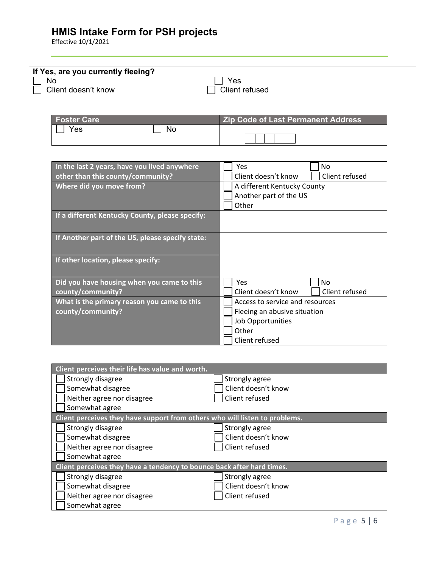| If Yes, are you currently fleeing? |                |  |
|------------------------------------|----------------|--|
|                                    |                |  |
| No                                 | Yes            |  |
| Client doesn't know                | Client refused |  |
|                                    |                |  |

| Foster Care |    | <b>Zip Code of Last Permanent Address</b> |
|-------------|----|-------------------------------------------|
| <b>Yes</b>  | No |                                           |

| In the last 2 years, have you lived anywhere     | Yes<br>No                             |  |
|--------------------------------------------------|---------------------------------------|--|
| other than this county/community?                | Client doesn't know<br>Client refused |  |
| Where did you move from?                         | A different Kentucky County           |  |
|                                                  | Another part of the US                |  |
|                                                  | Other                                 |  |
| If a different Kentucky County, please specify:  |                                       |  |
|                                                  |                                       |  |
| If Another part of the US, please specify state: |                                       |  |
|                                                  |                                       |  |
| If other location, please specify:               |                                       |  |
|                                                  |                                       |  |
| Did you have housing when you came to this       | <b>Yes</b><br><b>No</b>               |  |
| county/community?                                | Client doesn't know<br>Client refused |  |
| What is the primary reason you came to this      | Access to service and resources       |  |
| county/community?                                | Fleeing an abusive situation          |  |
|                                                  | Job Opportunities                     |  |
|                                                  | Other                                 |  |
|                                                  | Client refused                        |  |

| Client perceives their life has value and worth.                            |                     |  |
|-----------------------------------------------------------------------------|---------------------|--|
| Strongly disagree                                                           | Strongly agree      |  |
| Somewhat disagree                                                           | Client doesn't know |  |
| Neither agree nor disagree                                                  | Client refused      |  |
| Somewhat agree                                                              |                     |  |
| Client perceives they have support from others who will listen to problems. |                     |  |
| Strongly disagree                                                           | Strongly agree      |  |
| Somewhat disagree                                                           | Client doesn't know |  |
| Neither agree nor disagree                                                  | Client refused      |  |
| Somewhat agree                                                              |                     |  |
| Client perceives they have a tendency to bounce back after hard times.      |                     |  |
| Strongly disagree                                                           | Strongly agree      |  |
| Somewhat disagree                                                           | Client doesn't know |  |
| Neither agree nor disagree                                                  | Client refused      |  |
| Somewhat agree                                                              |                     |  |